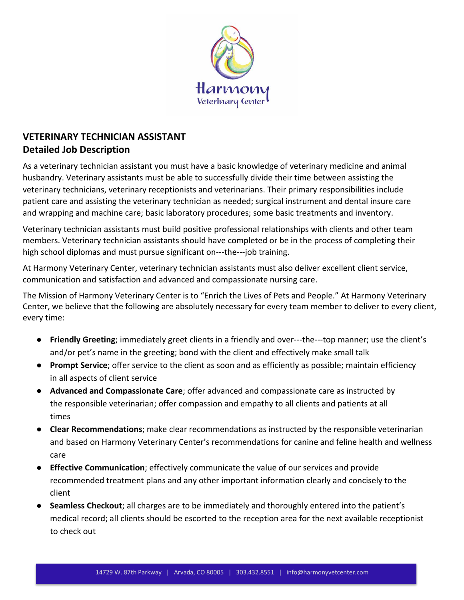

# **VETERINARY TECHNICIAN ASSISTANT Detailed Job Description**

As a veterinary technician assistant you must have a basic knowledge of veterinary medicine and animal husbandry. Veterinary assistants must be able to successfully divide their time between assisting the veterinary technicians, veterinary receptionists and veterinarians. Their primary responsibilities include patient care and assisting the veterinary technician as needed; surgical instrument and dental insure care and wrapping and machine care; basic laboratory procedures; some basic treatments and inventory.

Veterinary technician assistants must build positive professional relationships with clients and other team members. Veterinary technician assistants should have completed or be in the process of completing their high school diplomas and must pursue significant on---the---job training.

At Harmony Veterinary Center, veterinary technician assistants must also deliver excellent client service, communication and satisfaction and advanced and compassionate nursing care.

The Mission of Harmony Veterinary Center is to "Enrich the Lives of Pets and People." At Harmony Veterinary Center, we believe that the following are absolutely necessary for every team member to deliver to every client, every time:

- **Friendly Greeting**; immediately greet clients in a friendly and over---the---top manner; use the client's and/or pet's name in the greeting; bond with the client and effectively make small talk
- **Prompt Service**; offer service to the client as soon and as efficiently as possible; maintain efficiency in all aspects of client service
- **Advanced and Compassionate Care**; offer advanced and compassionate care as instructed by the responsible veterinarian; offer compassion and empathy to all clients and patients at all times
- **Clear Recommendations**; make clear recommendations as instructed by the responsible veterinarian and based on Harmony Veterinary Center's recommendations for canine and feline health and wellness care
- **Effective Communication**; effectively communicate the value of our services and provide recommended treatment plans and any other important information clearly and concisely to the client
- **Seamless Checkout**; all charges are to be immediately and thoroughly entered into the patient's medical record; all clients should be escorted to the reception area for the next available receptionist to check out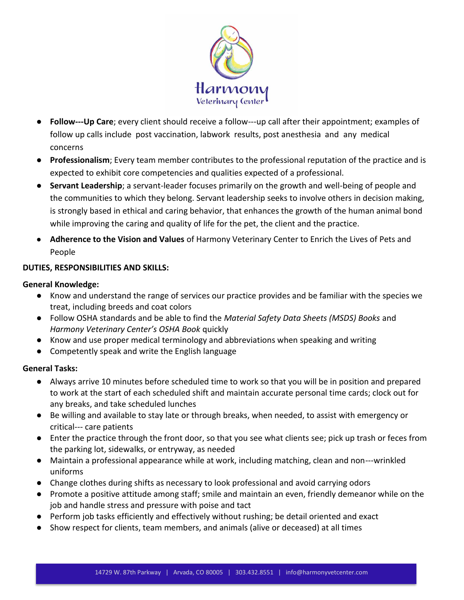

- **Follow-Up Care**; every client should receive a follow-up call after their appointment; examples of follow up calls include post vaccination, labwork results, post anesthesia and any medical concerns
- **Professionalism**; Every team member contributes to the professional reputation of the practice and is expected to exhibit core competencies and qualities expected of a professional.
- **Servant Leadership**; a servant-leader focuses primarily on the growth and well-being of people and the communities to which they belong. Servant leadership seeks to involve others in decision making, is strongly based in ethical and caring behavior, that enhances the growth of the human animal bond while improving the caring and quality of life for the pet, the client and the practice.
- **Adherence to the Vision and Values** of Harmony Veterinary Center to Enrich the Lives of Pets and People

## **DUTIES, RESPONSIBILITIES AND SKILLS:**

## **General Knowledge:**

- Know and understand the range of services our practice provides and be familiar with the species we treat, including breeds and coat colors
- Follow OSHA standards and be able to find the *Material Safety Data Sheets (MSDS) Books* and *Harmony Veterinary Center's OSHA Book* quickly
- Know and use proper medical terminology and abbreviations when speaking and writing
- Competently speak and write the English language

# **General Tasks:**

- Always arrive 10 minutes before scheduled time to work so that you will be in position and prepared to work at the start of each scheduled shift and maintain accurate personal time cards; clock out for any breaks, and take scheduled lunches
- Be willing and available to stay late or through breaks, when needed, to assist with emergency or critical--- care patients
- Enter the practice through the front door, so that you see what clients see; pick up trash or feces from the parking lot, sidewalks, or entryway, as needed
- Maintain a professional appearance while at work, including matching, clean and non---wrinkled uniforms
- Change clothes during shifts as necessary to look professional and avoid carrying odors
- Promote a positive attitude among staff; smile and maintain an even, friendly demeanor while on the job and handle stress and pressure with poise and tact
- Perform job tasks efficiently and effectively without rushing; be detail oriented and exact
- Show respect for clients, team members, and animals (alive or deceased) at all times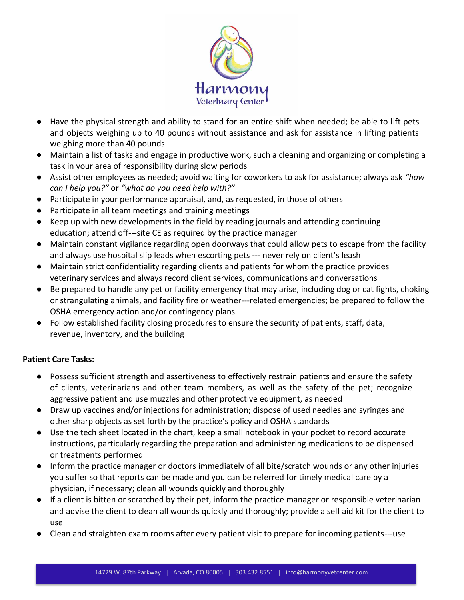

- Have the physical strength and ability to stand for an entire shift when needed; be able to lift pets and objects weighing up to 40 pounds without assistance and ask for assistance in lifting patients weighing more than 40 pounds
- Maintain a list of tasks and engage in productive work, such a cleaning and organizing or completing a task in your area of responsibility during slow periods
- Assist other employees as needed; avoid waiting for coworkers to ask for assistance; always ask *"how can I help you?"* or *"what do you need help with?"*
- Participate in your performance appraisal, and, as requested, in those of others
- Participate in all team meetings and training meetings
- Keep up with new developments in the field by reading journals and attending continuing education; attend off---site CE as required by the practice manager
- Maintain constant vigilance regarding open doorways that could allow pets to escape from the facility and always use hospital slip leads when escorting pets --- never rely on client's leash
- Maintain strict confidentiality regarding clients and patients for whom the practice provides veterinary services and always record client services, communications and conversations
- Be prepared to handle any pet or facility emergency that may arise, including dog or cat fights, choking or strangulating animals, and facility fire or weather-related emergencies; be prepared to follow the OSHA emergency action and/or contingency plans
- Follow established facility closing procedures to ensure the security of patients, staff, data, revenue, inventory, and the building

# **Patient Care Tasks:**

- Possess sufficient strength and assertiveness to effectively restrain patients and ensure the safety of clients, veterinarians and other team members, as well as the safety of the pet; recognize aggressive patient and use muzzles and other protective equipment, as needed
- Draw up vaccines and/or injections for administration; dispose of used needles and syringes and other sharp objects as set forth by the practice's policy and OSHA standards
- Use the tech sheet located in the chart, keep a small notebook in your pocket to record accurate instructions, particularly regarding the preparation and administering medications to be dispensed or treatments performed
- Inform the practice manager or doctors immediately of all bite/scratch wounds or any other injuries you suffer so that reports can be made and you can be referred for timely medical care by a physician, if necessary; clean all wounds quickly and thoroughly
- If a client is bitten or scratched by their pet, inform the practice manager or responsible veterinarian and advise the client to clean all wounds quickly and thoroughly; provide a self aid kit for the client to use
- Clean and straighten exam rooms after every patient visit to prepare for incoming patients---use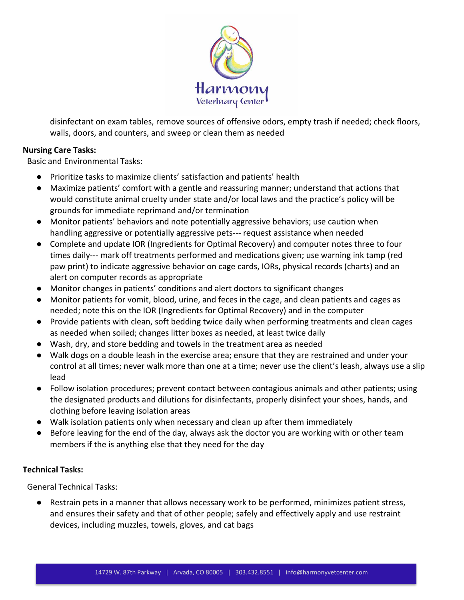

disinfectant on exam tables, remove sources of offensive odors, empty trash if needed; check floors, walls, doors, and counters, and sweep or clean them as needed

#### **Nursing Care Tasks:**

Basic and Environmental Tasks:

- Prioritize tasks to maximize clients' satisfaction and patients' health
- Maximize patients' comfort with a gentle and reassuring manner; understand that actions that would constitute animal cruelty under state and/or local laws and the practice's policy will be grounds for immediate reprimand and/or termination
- Monitor patients' behaviors and note potentially aggressive behaviors; use caution when handling aggressive or potentially aggressive pets--- request assistance when needed
- Complete and update IOR (Ingredients for Optimal Recovery) and computer notes three to four times daily--- mark off treatments performed and medications given; use warning ink tamp (red paw print) to indicate aggressive behavior on cage cards, IORs, physical records (charts) and an alert on computer records as appropriate
- Monitor changes in patients' conditions and alert doctors to significant changes
- Monitor patients for vomit, blood, urine, and feces in the cage, and clean patients and cages as needed; note this on the IOR (Ingredients for Optimal Recovery) and in the computer
- Provide patients with clean, soft bedding twice daily when performing treatments and clean cages as needed when soiled; changes litter boxes as needed, at least twice daily
- Wash, dry, and store bedding and towels in the treatment area as needed
- Walk dogs on a double leash in the exercise area; ensure that they are restrained and under your control at all times; never walk more than one at a time; never use the client's leash, always use a slip lead
- Follow isolation procedures; prevent contact between contagious animals and other patients; using the designated products and dilutions for disinfectants, properly disinfect your shoes, hands, and clothing before leaving isolation areas
- Walk isolation patients only when necessary and clean up after them immediately
- Before leaving for the end of the day, always ask the doctor you are working with or other team members if the is anything else that they need for the day

## **Technical Tasks:**

General Technical Tasks:

● Restrain pets in a manner that allows necessary work to be performed, minimizes patient stress, and ensures their safety and that of other people; safely and effectively apply and use restraint devices, including muzzles, towels, gloves, and cat bags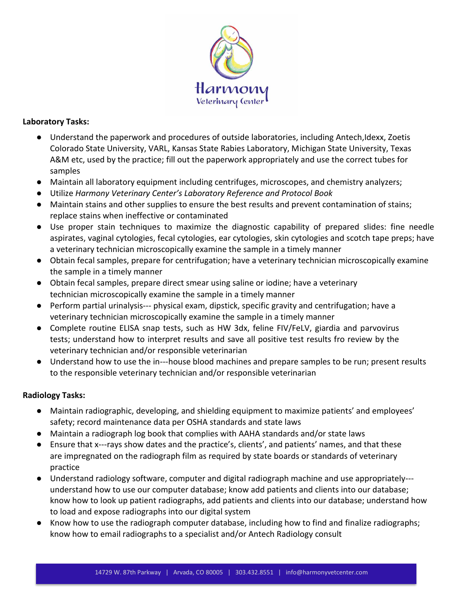

## **Laboratory Tasks:**

- Understand the paperwork and procedures of outside laboratories, including Antech,Idexx, Zoetis Colorado State University, VARL, Kansas State Rabies Laboratory, Michigan State University, Texas A&M etc, used by the practice; fill out the paperwork appropriately and use the correct tubes for samples
- Maintain all laboratory equipment including centrifuges, microscopes, and chemistry analyzers;
- Utilize *Harmony Veterinary Center's Laboratory Reference and Protocol Book*
- Maintain stains and other supplies to ensure the best results and prevent contamination of stains; replace stains when ineffective or contaminated
- Use proper stain techniques to maximize the diagnostic capability of prepared slides: fine needle aspirates, vaginal cytologies, fecal cytologies, ear cytologies, skin cytologies and scotch tape preps; have a veterinary technician microscopically examine the sample in a timely manner
- Obtain fecal samples, prepare for centrifugation; have a veterinary technician microscopically examine the sample in a timely manner
- Obtain fecal samples, prepare direct smear using saline or iodine; have a veterinary technician microscopically examine the sample in a timely manner
- Perform partial urinalysis--- physical exam, dipstick, specific gravity and centrifugation; have a veterinary technician microscopically examine the sample in a timely manner
- Complete routine ELISA snap tests, such as HW 3dx, feline FIV/FeLV, giardia and parvovirus tests; understand how to interpret results and save all positive test results fro review by the veterinary technician and/or responsible veterinarian
- Understand how to use the in-house blood machines and prepare samples to be run; present results to the responsible veterinary technician and/or responsible veterinarian

## **Radiology Tasks:**

- Maintain radiographic, developing, and shielding equipment to maximize patients' and employees' safety; record maintenance data per OSHA standards and state laws
- Maintain a radiograph log book that complies with AAHA standards and/or state laws
- Ensure that x---rays show dates and the practice's, clients', and patients' names, and that these are impregnated on the radiograph film as required by state boards or standards of veterinary practice
- Understand radiology software, computer and digital radiograph machine and use appropriately understand how to use our computer database; know add patients and clients into our database; know how to look up patient radiographs, add patients and clients into our database; understand how to load and expose radiographs into our digital system
- Know how to use the radiograph computer database, including how to find and finalize radiographs; know how to email radiographs to a specialist and/or Antech Radiology consult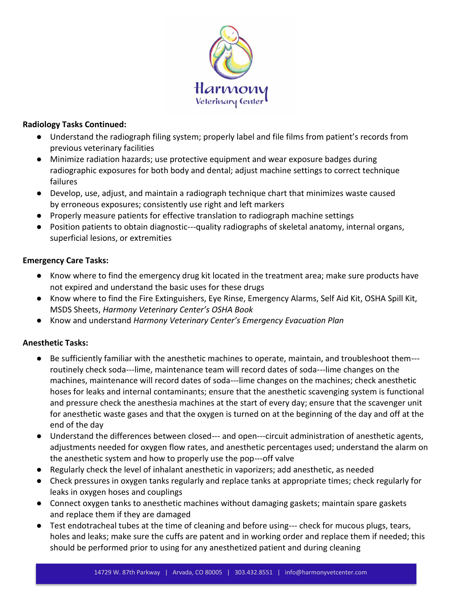

## **Radiology Tasks Continued:**

- Understand the radiograph filing system; properly label and file films from patient's records from previous veterinary facilities
- Minimize radiation hazards; use protective equipment and wear exposure badges during radiographic exposures for both body and dental; adjust machine settings to correct technique failures
- Develop, use, adjust, and maintain a radiograph technique chart that minimizes waste caused by erroneous exposures; consistently use right and left markers
- Properly measure patients for effective translation to radiograph machine settings
- Position patients to obtain diagnostic---quality radiographs of skeletal anatomy, internal organs, superficial lesions, or extremities

## **Emergency Care Tasks:**

- Know where to find the emergency drug kit located in the treatment area; make sure products have not expired and understand the basic uses for these drugs
- Know where to find the Fire Extinguishers, Eye Rinse, Emergency Alarms, Self Aid Kit, OSHA Spill Kit, MSDS Sheets, *Harmony Veterinary Center's OSHA Book*
- Know and understand *Harmony Veterinary Center's Emergency Evacuation Plan*

## **Anesthetic Tasks:**

- Be sufficiently familiar with the anesthetic machines to operate, maintain, and troubleshoot them routinely check soda---lime, maintenance team will record dates of soda---lime changes on the machines, maintenance will record dates of soda---lime changes on the machines; check anesthetic hoses for leaks and internal contaminants; ensure that the anesthetic scavenging system is functional and pressure check the anesthesia machines at the start of every day; ensure that the scavenger unit for anesthetic waste gases and that the oxygen is turned on at the beginning of the day and off at the end of the day
- Understand the differences between closed--- and open---circuit administration of anesthetic agents, adjustments needed for oxygen flow rates, and anesthetic percentages used; understand the alarm on the anesthetic system and how to properly use the pop---off valve
- Regularly check the level of inhalant anesthetic in vaporizers; add anesthetic, as needed
- Check pressures in oxygen tanks regularly and replace tanks at appropriate times; check regularly for leaks in oxygen hoses and couplings
- Connect oxygen tanks to anesthetic machines without damaging gaskets; maintain spare gaskets and replace them if they are damaged
- Test endotracheal tubes at the time of cleaning and before using--- check for mucous plugs, tears, holes and leaks; make sure the cuffs are patent and in working order and replace them if needed; this should be performed prior to using for any anesthetized patient and during cleaning